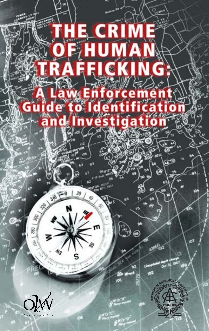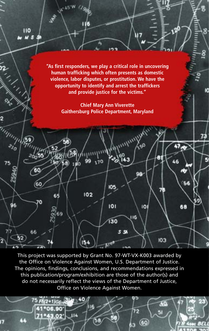

This project was supported by Grant No. 97-WT-VX-K003 awarded by the Office on Violence Against Women, U.S. Department of Justice. The opinions, findings, conclusions, and recommendations expressed in this publication/program/exhibition are those of the author(s) and do not necessarily reflect the views of the Department of Justice, Office on Violence Against Women.

 $-40$ 

114

116

58

5 FN2+1/G6H

41°06.90

71°43.02'

65

72

63

 $<sub>60</sub>$ </sub>

Œ

51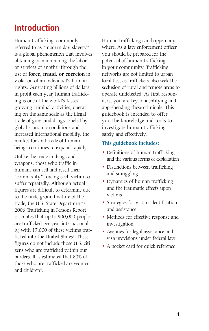# **Introduction**

Human trafficking, commonly referred to as "modern day slavery" is a global phenomenon that involves obtaining or maintaining the labor or services of another through the use of **force, fraud, or coercion** in violation of an individual's human rights. Generating billions of dollars in profit each year, human trafficking is one of the world's fastest growing criminal activities, operating on the same scale as the illegal trade of guns and drugs<sup>i</sup>. Fueled by global economic conditions and increased international mobility, the market for and trade of human beings continues to expand rapidly.

Unlike the trade in drugs and weapons, those who traffic in humans can sell and resell their "commodity" forcing each victim to suffer repeatedly. Although actual figures are difficult to determine due to the underground nature of the trade, the U.S. State Department's 2006 Trafficking in Persons Report estimates that up to 900,000 people are trafficked per year internationally, with 17,000 of these victims trafficked into the United States<sup>ii</sup>. These figures do not include those U.S. citizens who are trafficked within our borders. It is estimated that 80% of those who are trafficked are women and children<sup>ii</sup>.

Human trafficking can happen anywhere. As a law enforcement officer, you should be prepared for the potential of human trafficking in your community. Trafficking networks are not limited to urban localities, as traffickers also seek the seclusion of rural and remote areas to operate undetected. As first responders, you are key to identifying and apprehending these criminals. This guidebook is intended to offer you the knowledge and tools to investigate human trafficking safely and effectively.

#### **This guidebook includes:**

- Definitions of human trafficking and the various forms of exploitation
- Distinctions between trafficking and smuggling
- Dynamics of human trafficking and the traumatic effects upon victims
- Strategies for victim identification and assistance
- Methods for effective response and investigation
- Avenues for legal assistance and visa provisions under federal law
- A pocket card for quick reference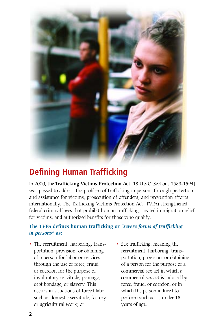

# **Defining Human Trafficking**

In 2000, the **Trafficking Victims Protection Act** [18 U.S.C. Sections 1589-1594] was passed to address the problem of trafficking in persons through protection and assistance for victims, prosecution of offenders, and prevention efforts internationally. The Trafficking Victims Protection Act (TVPA) strengthened federal criminal laws that prohibit human trafficking, created immigration relief for victims, and authorized benefits for those who qualify.

## **The TVPA defines human trafficking or** *"severe forms of trafficking in persons"* **as:**

- The recruitment, harboring, transportation, provision, or obtaining of a person for labor or services through the use of force, fraud, or coercion for the purpose of involuntary servitude, peonage, debt bondage, or slavery. This occurs in situations of forced labor such as domestic servitude, factory or agricultural work; or
- Sex trafficking, meaning the recruitment, harboring, transportation, provision, or obtaining of a person for the purpose of a commercial sex act in which a commercial sex act is induced by force, fraud, or coercion, or in which the person induced to perform such act is under 18 years of age.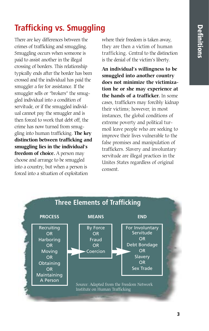# **Trafficking vs. Smuggling**

There are key differences between the crimes of trafficking and smuggling. Smuggling occurs when someone is paid to assist another in the illegal crossing of borders. This relationship typically ends after the border has been crossed and the individual has paid the smuggler a fee for assistance. If the smuggler sells or "brokers" the smuggled individual into a condition of servitude, or if the smuggled individual cannot pay the smuggler and is then forced to work that debt off, the crime has now turned from smuggling into human trafficking. **The key distinction between trafficking and smuggling lies in the individual's freedom of choice.** A person may choose and arrange to be smuggled into a country, but when a person is forced into a situation of exploitation

where their freedom is taken away, they are then a victim of human trafficking. Central to the distinction is the denial of the victim's liberty.

**An individual's willingness to be smuggled into another country does not minimize the victimization he or she may experience at the hands of a trafficker.** In some cases, traffickers may forcibly kidnap their victims; however, in most instances, the global conditions of extreme poverty and political turmoil leave people who are seeking to improve their lives vulnerable to the false promises and manipulation of traffickers. Slavery and involuntary servitude are illegal practices in the Unites States regardless of original consent.

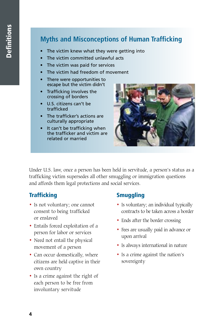# **Myths and Misconceptions of Human Trafficking**

- The victim knew what they were getting into
- The victim committed unlawful acts
- The victim was paid for services
- The victim had freedom of movement
- There were opportunities to escape but the victim didn't
- Trafficking involves the crossing of borders
- U.S. citizens can't be trafficked
- The trafficker's actions are culturally appropriate
- It can't be trafficking when the trafficker and victim are related or married



Under U.S. law, once a person has been held in servitude, a person's status as a trafficking victim supersedes all other smuggling or immigration questions and affords them legal protections and social services.

## **Trafficking**

- Is not voluntary; one cannot consent to being trafficked or enslaved
- Entails forced exploitation of a person for labor or services
- Need not entail the physical movement of a person
- Can occur domestically, where citizens are held captive in their own country
- Is a crime against the right of each person to be free from involuntary servitude

### **Smuggling**

- Is voluntary; an individual typically contracts to be taken across a border
- Ends after the border crossing
- Fees are usually paid in advance or upon arrival
- Is always international in nature
- Is a crime against the nation's sovereignty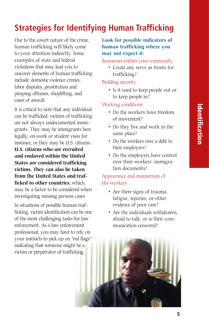# **Strategies for Identifying Human Trafficking**

Due to the covert nature of the crime, human trafficking will likely come to your attention indirectly. Some examples of state and federal violations that may lead you to uncover elements of human trafficking include: domestic violence crimes, labor disputes, prostitution and pimping offenses, shoplifting, and cases of assault.

It is critical to note that any individual can be trafficked; victims of trafficking are not always undocumented immigrants. They may be immigrants here legally, on work or student visas for instance, or they may be U.S. citizens. **U.S. citizens who are recruited and enslaved within the United States are considered trafficking victims. They can also be taken from the United States and trafficked to other countries,** which may be a factor to be considered when investigating missing persons cases.

In situations of possible human trafficking, victim identification can be one of the most challenging tasks for law enforcement. As a law enforcement professional, you may have to rely on your instincts to pick up on "red flags" indicating that someone might be a victim or perpetrator of trafficking.

### **Look for possible indicators of human trafficking where you may not expect it:**

#### Businesses within your community

• Could any serve as fronts for trafficking?

### Building security

• Is it used to keep people out or to keep people in?

### Working conditions

- Do the workers have freedom of movement?
- Do they live and work in the same place?
- Do the workers owe a debt to their employers?
- Do the employers have control over their workers' immigration documents?

## Appearance and mannerism of the workers

- Are there signs of trauma, fatigue, injuries, or other evidence of poor care?
- Are the individuals withdrawn, afraid to talk, or is their communication censored?

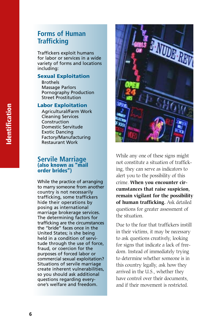Traffickers exploit humans for labor or services in a wide variety of forms and locations including:

#### **Sexual Exploitation**

Brothels Massage Parlors Pornography Production Street Prostitution

#### **Labor Exploitation**

Agricultural/Farm Work Cleaning Services **Construction** Domestic Servitude Exotic Dancing Factory/Manufacturing Restaurant Work

### **Servile Marriage (also known as "mail order brides")**

While the practice of arranging to marry someone from another country is not necessarily trafficking, some traffickers hide their operations by posing as international marriage brokerage services. The determining factors for trafficking are the circumstances the "bride" faces once in the United States; is she being held in a condition of servitude through the use of force, fraud, or coercion for the purposes of forced labor or commercial sexual exploitation? Situations of servile marriage create inherent vulnerabilities, so you should ask additional questions regarding everyone's welfare and freedom.



While any one of these signs might not constitute a situation of trafficking, they can serve as indicators to alert you to the possibility of this crime. **When you encounter circumstances that raise suspicion, remain vigilant for the possibility of human trafficking.** Ask detailed questions for greater assessment of the situation.

Due to the fear that traffickers instill in their victims, it may be necessary to ask questions creatively, looking for signs that indicate a lack of freedom. Instead of immediately trying to determine whether someone is in this country legally, ask how they arrived in the U.S., whether they have control over their documents. and if their movement is restricted.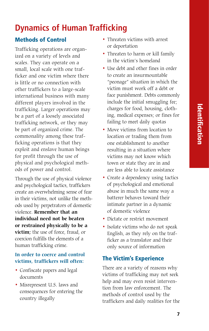# **Dynamics of Human Trafficking**

## **Methods of Control**

Trafficking operations are organized on a variety of levels and scales. They can operate on a small, local scale with one trafficker and one victim where there is little or no connection with other traffickers to a large-scale international business with many different players involved in the trafficking. Larger operations may be a part of a loosely associated trafficking network, or they may be part of organized crime. The commonality among these trafficking operations is that they exploit and enslave human beings for profit through the use of physical and psychological methods of power and control.

Through the use of physical violence and psychological tactics, traffickers create an overwhelming sense of fear in their victims, not unlike the methods used by perpetrators of domestic violence. **Remember that an individual need not be beaten or restrained physically to be a victim;** the use of force, fraud, or coercion fulfills the elements of a human trafficking crime.

### **In order to coerce and control victims, traffickers will often:**

- Confiscate papers and legal documents
- Misrepresent U.S. laws and consequences for entering the country illegally
- Threaten victims with arrest or deportation
- Threaten to harm or kill family in the victim's homeland
- Use debt and other fines in order to create an insurmountable "peonage" situation in which the victim must work off a debt or face punishment. Debts commonly include the initial smuggling fee; charges for food, housing, clothing, medical expenses; or fines for failing to meet daily quotas
- Move victims from location to location or trading them from one establishment to another resulting in a situation where victims may not know which town or state they are in and are less able to locate assistance
- Create a dependency using tactics of psychological and emotional abuse in much the same way a batterer behaves toward their intimate partner in a dynamic of domestic violence
- Dictate or restrict movement
- Isolate victims who do not speak English, as they rely on the trafficker as a translator and their only source of information

## **The Victim's Experience**

There are a variety of reasons why victims of trafficking may not seek help and may even resist intervention from law enforcement. The methods of control used by the traffickers and daily realities for the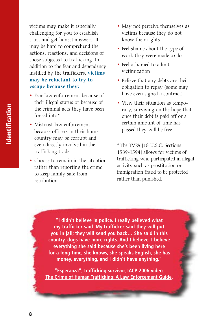victims may make it especially challenging for you to establish trust and get honest answers. It may be hard to comprehend the actions, reactions, and decisions of those subjected to trafficking. In addition to the fear and dependency instilled by the traffickers, **victims may be reluctant to try to escape because they:**

- Fear law enforcement because of their illegal status or because of the criminal acts they have been forced into\*
- Mistrust law enforcement because officers in their home country may be corrupt and even directly involved in the trafficking trade
- Choose to remain in the situation rather than reporting the crime to keep family safe from retribution
- May not perceive themselves as victims because they do not know their rights
- Feel shame about the type of work they were made to do
- Feel ashamed to admit victimization
- Believe that any debts are their obligation to repay (some may have even signed a contract)
- View their situation as temporary, surviving on the hope that once their debt is paid off or a certain amount of time has passed they will be free

\*The TVPA [18 U.S.C. Sections 1589-1594] allows for victims of trafficking who participated in illegal activity such as prostitution or immigration fraud to be protected rather than punished.

**"I didn't believe in police. I really believed what my trafficker said. My trafficker said they will put you in jail; they will send you back… She said in this country, dogs have more rights. And I believe. I believe everything she said because she's been living here for a long time, she knows, she speaks English, she has money, everything, and I didn't have anything."**

**"Esperanza", trafficking survivor, IACP 2006 video, The Crime of Human Trafficking: A Law Enforcement Guide.**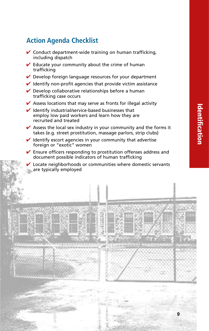# **Action Agenda Checklist**

- $\vee$  Conduct department-wide training on human trafficking, including dispatch
- $\vee$  Educate your community about the crime of human trafficking
- $\vee$  Develop foreign language resources for your department
- $\vee$  Identify non-profit agencies that provide victim assistance
- $\vee$  Develop collaborative relationships before a human trafficking case occurs
- $\vee$  Assess locations that may serve as fronts for illegal activity
- $\vee$  Identify industrial/service-based businesses that employ low paid workers and learn how they are recruited and treated
- $\vee$  Assess the local sex industry in your community and the forms it takes (e.g. street prostitution, massage parlors, strip clubs)
- $\vee$  Identify escort agencies in your community that advertise foreign or "exotic" women
- $\vee$  Ensure officers responding to prostitution offenses address and document possible indicators of human trafficking
- Locate neighborhoods or communities where domestic servants are typically employed

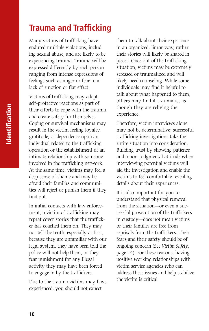# **Trauma and Trafficking**

Many victims of trafficking have endured multiple violations, including sexual abuse, and are likely to be experiencing trauma. Trauma will be expressed differently by each person ranging from intense expressions of feelings such as anger or fear to a lack of emotion or flat effect.

Victims of trafficking may adopt self-protective reactions as part of their efforts to cope with the trauma and create safety for themselves. Coping or survival mechanisms may result in the victim feeling loyalty, gratitude, or dependence upon an individual related to the trafficking operation or the establishment of an intimate relationship with someone involved in the trafficking network. At the same time, victims may feel a deep sense of shame and may be afraid their families and communities will reject or punish them if they find out.

In initial contacts with law enforcement, a victim of trafficking may repeat cover stories that the trafficker has coached them on. They may not tell the truth, especially at first, because they are unfamiliar with our legal system, they have been told the police will not help them, or they fear punishment for any illegal activity they may have been forced to engage in by the traffickers.

Due to the trauma victims may have experienced, you should not expect

them to talk about their experience in an organized, linear way, rather their stories will likely be shared in pieces. Once out of the trafficking situation, victims may be extremely stressed or traumatized and will likely need counseling. While some individuals may find it helpful to talk about what happened to them, others may find it traumatic, as though they are reliving the experience.

Therefore, victim interviews alone may not be determinative; successful trafficking investigations take the entire situation into consideration. Building trust by showing patience and a non-judgmental attitude when interviewing potential victims will aid the investigation and enable the victims to feel comfortable revealing details about their experiences.

It is also important for you to understand that physical removal from the situation—or even a successful prosecution of the traffickers in custody—does not mean victims or their families are free from reprisals from the traffickers. Their fears and their safety should be of ongoing concern (See *Victim Safety*, page 14). For these reasons, having positive working relationships with victim service agencies who can address these issues and help stabilize the victim is critical.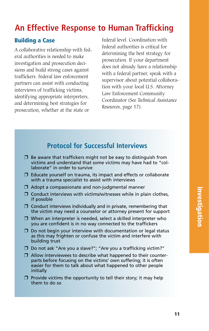# **An Effective Response to Human Trafficking**

## **Building a Case**

A collaborative relationship with federal authorities is needed to make investigation and prosecution decisions and build strong cases against traffickers. Federal law enforcement partners can assist with conducting interviews of trafficking victims, identifying appropriate interpreters, and determining best strategies for prosecution, whether at the state or

federal level. Coordination with federal authorities is critical for determining the best strategy for prosecution. If your department does not already have a relationship with a federal partner, speak with a supervisor about potential collaboration with your local U.S. Attorney Law Enforcement Community Coordinator (See *Technical Assistance Resources*, page 17).

# **Protocol for Successful Interviews**

- $\Box$  Be aware that traffickers might not be easy to distinguish from victims and understand that some victims may have had to "collaborate" in order to survive
- ❒ Educate yourself on trauma, its impact and effects or collaborate with a trauma specialist to assist with interviews
- ❒ Adopt a compassionate and non-judgmental manner
- ❒ Conduct interviews with victims/witnesses while in plain clothes, if possible
- ❒ Conduct interviews individually and in private, remembering that the victim may need a counselor or attorney present for support
- ❒ When an interpreter is needed, select a skilled interpreter who you are confident is in no way connected to the traffickers
- ❒ Do not begin your interview with documentation or legal status as this may frighten or confuse the victim and interfere with building trust
- ❒ Do not ask "Are you a slave?"; "Are you a trafficking victim?"
- ❒ Allow interviewees to describe what happened to their counterparts before focusing on the victims' own suffering; it is often easier for them to talk about what happened to other people initially
- ❒ Provide victims the opportunity to tell their story; it may help them to do so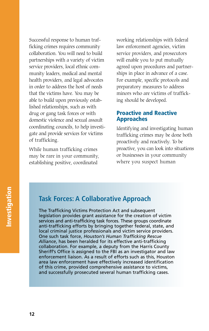Successful response to human trafficking crimes requires community collaboration. You will need to build partnerships with a variety of victim service providers, local ethnic community leaders, medical and mental health providers, and legal advocates in order to address the host of needs that the victims have. You may be able to build upon previously established relationships, such as with drug or gang task forces or with domestic violence and sexual assault coordinating councils, to help investigate and provide services for victims of trafficking.

While human trafficking crimes may be rare in your community, establishing positive, coordinated

working relationships with federal law enforcement agencies, victim service providers, and prosecutors will enable you to put mutually agreed upon procedures and partnerships in place in advance of a case. For example, specific protocols and preparatory measures to address minors who are victims of trafficking should be developed.

### **Proactive and Reactive Approaches**

Identifying and investigating human trafficking crimes may be done both proactively and reactively. To be proactive, you can look into situations or businesses in your community where you suspect human

## **Task Forces: A Collaborative Approach**

The Trafficking Victims Protection Act and subsequent legislation provides grant assistance for the creation of victim services and anti-trafficking task forces. These groups coordinate anti-trafficking efforts by bringing together federal, state, and local criminal justice professionals and victim service providers. One such task force, *Houston's Human Trafficking Rescue Alliance*, has been heralded for its effective anti-trafficking collaboration. For example, a deputy from the Harris County Sheriff's Office is assigned to the FBI as an investigator and law enforcement liaison. As a result of efforts such as this, Houston area law enforcement have effectively increased identification of this crime, provided comprehensive assistance to victims, and successfully prosecuted several human trafficking cases.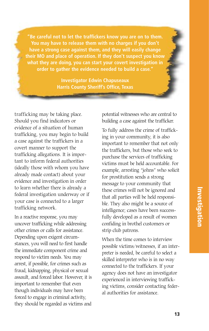**"Be careful not to let the traffickers know you are on to them. You may have to release them with no charges if you don't have a strong case against them, and they will easily change their MO and place of operation. If they don't suspect you know what they are doing, you can start your covert investigation in order to gather the evidence needed to build a case."**

> **Investigator Edwin Chapuseaux Harris County Sheriff's Office, Texas**

trafficking may be taking place. Should you find indicators or evidence of a situation of human trafficking, you may begin to build a case against the traffickers in a covert manner to support the trafficking allegations. It is important to inform federal authorities (ideally those with whom you have already made contact) about your evidence and investigation in order to learn whether there is already a federal investigation underway or if your case is connected to a larger trafficking network.

In a reactive response, you may uncover trafficking while addressing other crimes or calls for assistance. Depending upon exigent circumstances, you will need to first handle the immediate component crime and respond to victim needs. You may arrest, if possible, for crimes such as fraud, kidnapping, physical or sexual assault, and forced labor. However, it is important to remember that even though individuals may have been forced to engage in criminal activity, they should be regarded as victims and

potential witnesses who are central to building a case against the trafficker.

To fully address the crime of trafficking in your community, it is also important to remember that not only the traffickers, but those who seek to purchase the services of trafficking victims must be held accountable. For example, arresting "johns" who solicit for prostitution sends a strong message to your community that these crimes will not be ignored and that all parties will be held responsible. They also might be a source of intelligence; cases have been successfully developed as a result of women confiding in brothel customers or strip club patrons.

When the time comes to interview possible victims/witnesses, if an interpreter is needed, be careful to select a skilled interpreter who is in no way connected to the traffickers. If your agency does not have an investigator experienced in interviewing trafficking victims, consider contacting federal authorities for assistance.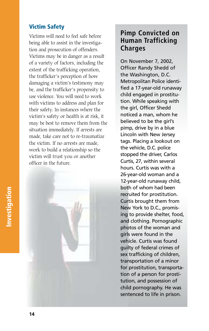## **Victim Safety**

Victims will need to feel safe before being able to assist in the investigation and prosecution of offenders. Victims may be in danger as a result of a variety of factors, including the extent of the trafficking operation, the trafficker's perception of how damaging a victim's testimony may be, and the trafficker's propensity to use violence. You will need to work with victims to address and plan for their safety. In instances where the victim's safety or health is at risk, it may be best to remove them from the situation immediately. If arrests are made, take care not to re-traumatize the victim. If no arrests are made, work to build a relationship so the victim will trust you or another officer in the future.



## **Pimp Convicted on Human Trafficking Charges**

On November 7, 2002, Officer Randy Shedd of the Washington, D.C. Metropolitan Police identified a 17-year-old runaway child engaged in prostitution. While speaking with the girl, Officer Shedd noticed a man, whom he believed to be the girl's pimp, drive by in a blue Lincoln with New Jersey tags. Placing a lookout on the vehicle, D.C. police stopped the driver, Carlos Curtis, 27, within several hours. Curtis was with a 26-year-old woman and a 12-year-old runaway child, both of whom had been recruited for prostitution. Curtis brought them from New York to D.C., promising to provide shelter, food, and clothing. Pornographic photos of the woman and girls were found in the vehicle. Curtis was found guilty of federal crimes of sex trafficking of children, transportation of a minor for prostitution, transportation of a person for prostitution, and possession of child pornography. He was sentenced to life in prison.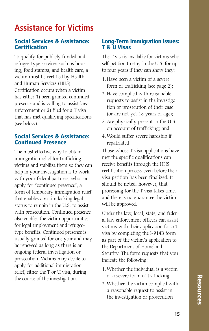# **Assistance for Victims**

### **Social Services & Assistance: Certification**

To qualify for publicly funded and refugee-type services such as housing, food stamps, and health care, a victim must be certified by Health and Human Services (HHS). Certification occurs when a victim has either 1) been granted continued presence and is willing to assist law enforcement or 2) filed for a T visa that has met qualifying specifications (see below).

### **Social Services & Assistance: Continued Presence**

The most effective way to obtain immigration relief for trafficking victims and stabilize them so they can help in your investigation is to work with your federal partners, who can apply for "continued presence", a form of temporary immigration relief that enables a victim lacking legal status to remain in the U.S. to assist with prosecution. Continued presence also enables the victim opportunities for legal employment and refugeetype benefits. Continued presence is usually granted for one year and may be renewed as long as there is an ongoing federal investigation or prosecution. Victims may decide to apply for additional immigration relief, either the T or U visa, during the course of the investigation.

### **Long-Term Immigration Issues: T & U Visas**

The T visa is available for victims who self-petition to stay in the U.S. for up to four years if they can show they:

- 1. Have been a victim of a severe form of trafficking (see page 2);
- 2. Have complied with reasonable requests to assist in the investigation or prosecution of their case (or are not yet 18 years of age);
- 3. Are physically present in the U.S. on account of trafficking; and
- 4. Would suffer severe hardship if repatriated

Those whose T visa applications have met the specific qualifications can receive benefits through the HHS certification process even before their visa petition has been finalized. It should be noted, however, that processing for the T visa takes time, and there is no guarantee the victim will be approved.

Under the law, local, state, and federal law enforcement officers can assist victims with their application for a T visa by completing the I-914B form as part of the victim's application to the Department of Homeland Security. The form requests that you indicate the following:

- 1. Whether the individual is a victim of a severe form of trafficking
- 2. Whether the victim complied with a reasonable request to assist in the investigation or prosecution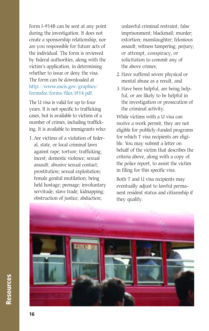Form I-914B can be sent at any point during the investigation. It does not create a sponsorship relationship, nor are you responsible for future acts of the individual. The form is reviewed by federal authorities, along with the victim's application, in determining whether to issue or deny the visa. The form can be downloaded at http://www.uscis.gov/graphics/ formsfee/forms/files/i914.pdf.

The U visa is valid for up to four years. It is not specific to trafficking cases, but is available to victims of a number of crimes, including trafficking. It is available to immigrants who:

1. Are victims of a violation of federal, state, or local criminal laws against rape; torture; trafficking; incest; domestic violence; sexual assault; abusive sexual contact; prostitution; sexual exploitation; female genital mutilation; being held hostage; peonage; involuntary servitude; slave trade; kidnapping; obstruction of justice; abduction;

unlawful criminal restraint; false imprisonment; blackmail; murder; extortion; manslaughter; felonious assault; witness tampering; perjury; or attempt, conspiracy, or solicitation to commit any of the above crimes;

- 2. Have suffered severe physical or mental abuse as a result, and
- 3. Have been helpful, are being helpful, or are likely to be helpful in the investigation or prosecution of the criminal activity.

While victims with a U visa can receive a work permit, they are not eligible for publicly-funded programs for which T visa recipients are eligible. You may submit a letter on behalf of the victim that describes the criteria above, along with a copy of the police report, to assist the victim in filing for this specific visa.

Both T and U visa recipients may eventually adjust to lawful permanent resident status and citizenship if they qualify.

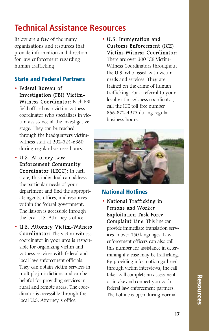# **Technical Assistance Resources**

Below are a few of the many organizations and resources that provide information and direction for law enforcement regarding human trafficking.

## **State and Federal Partners**

- Federal Bureau of Investigation (FBI) Victim-Witness Coordinator: Each FBI field office has a victim-witness coordinator who specializes in victim assistance at the investigative stage. They can be reached through the headquarters victimwitness staff at 202-324-6360 during regular business hours.
- U.S. Attorney Law Enforcement Community Coordinator (LECC): In each state, this individual can address the particular needs of your department and find the appropriate agents, offices, and resources within the federal government. The liaison is accessible through the local U.S. Attorney's office.
- U.S. Attorney Victim-Witness Coordinator: The victim-witness coordinator in your area is responsible for organizing victim and witness services with federal and local law enforcement officials. They can obtain victim services in multiple jurisdictions and can be helpful for providing services in rural and remote areas. The coordinator is accessible through the local U.S. Attorney's office.

• U.S. Immigration and Customs Enforcement (ICE) Victim-Witness Coordinator:

There are over 300 ICE Victim-Witness Coordinators throughout the U.S. who assist with victim needs and services. They are trained on the crime of human trafficking. For a referral to your local victim witness coordinator, call the ICE toll free number 866-872-4973 during regular business hours.



## **National Hotlines**

• National Trafficking in Persons and Worker Exploitation Task Force Complaint Line: This line can provide immediate translation services in over 150 languages. Law enforcement officers can also call this number for assistance in determining if a case may be trafficking. By providing information gathered through victim interviews, the call taker will complete an assessment or intake and connect you with federal law enforcement partners. The hotline is open during normal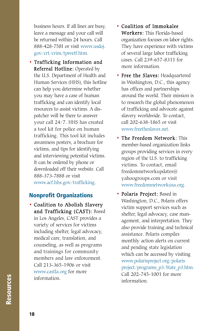business hours. If all lines are busy, leave a message and your call will be returned within 24 hours. Call 888-428-7581 or visit www.usdoj. gov/crt/crim/tpwetf.htm.

• Trafficking Information and Referral Hotline: Operated by the U.S. Department of Health and Human Services (HHS), this hotline can help you determine whether you may have a case of human trafficking and can identify local resources to assist victims. A dispatcher will be there to answer your call 24/7. HHS has created a tool kit for police on human trafficking. This tool kit includes awareness posters, a brochure for victims, and tips for identifying and interviewing potential victims. It can be ordered by phone or downloaded off their website. Call 888-373-7888 or visit www.acf.hhs.gov/trafficking.

## **Nonprofit Organizations**

• Coalition to Abolish Slavery and Trafficking (CAST): Based in Los Angeles, CAST provides a variety of services for victims including shelter, legal advocacy, medical care, translation, and counseling, as well as programs and trainings for community members and law enforcement. Call 213-365-1906 or visit www.castla.org for more information.

- Coalition of Immokalee Workers: This Florida-based organization focuses on labor rights. They have experience with victims of several large labor trafficking cases. Call 239-657-8311 for more information.
- Free the Slaves: Headquartered in Washington, D.C., this agency has offices and partnerships around the world. Their mission is to research the global phenomenon of trafficking and advocate against slavery worldwide. To contact, call 202-638-1865 or visit www.freetheslaves.net.
- The Freedom Network: This member-based organization links groups providing services in every region of the U.S. to trafficking victims. To contact, email freedomnetworkupdates@ yahoogroups.com or visit www.freedomnetworkusa.org.
- Polaris Project: Based in Washington, D.C., Polaris offers victim support services such as shelter, legal advocacy, case management, and interpretation. They also provide training and technical assistance. Polaris compiles monthly action alerts on current and pending state legislation which can be accessed by visiting www.polarisproject.org/polaris project/programs\_p3/State\_p3.htm. Call 202-745-1001 for more information.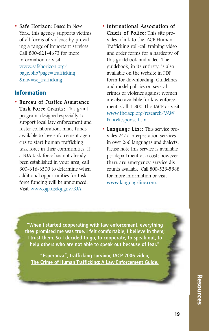• Safe Horizon: Based in New York, this agency supports victims of all forms of violence by providing a range of important services. Call 800-621-4673 for more information or visit www.safehorizon.org/ page.php?page=trafficking &nav=se\_trafficking.

## **Information**

- Bureau of Justice Assistance Task Force Grants: This grant program, designed especially to support local law enforcement and foster collaboration, made funds available to law enforcement agencies to start human trafficking task force in their communities. If a BJA task force has not already been established in your area, call 800-616-6500 to determine when additional opportunities for task force funding will be announced. Visit www.ojp.usdoj.gov/BJA.
- International Association of Chiefs of Police: This site provides a link to the IACP Human Trafficking roll-call training video and order forms for a hardcopy of this guidebook and video. The guidebook, in its entirety, is also available on the website in PDF form for downloading. Guidelines and model policies on several crimes of violence against women are also available for law enforcement. Call 1-800-The-IACP or visit www.theiacp.org/research/VAW PoliceResponse.html.
- Language Line: This service provides 24/7 interpretation services in over 260 languages and dialects. Please note this service is available per department at a cost; however, there are emergency service discounts available. Call 800-528-5888 for more information or visit www.languageline.com.

**"When I started cooperating with law enforcement, everything they promised me was true. I felt comfortable; I believe in them; I trust them. So I decided to go, to cooperate, to speak out, to help others who are not able to speak out because of fear."**

**"Esperanza", trafficking survivor, IACP 2006 video, The Crime of Human Trafficking: A Law Enforcement Guide.**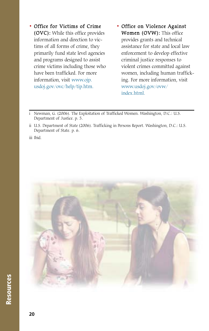- Office for Victims of Crime (OVC): While this office provides information and direction to victims of all forms of crime, they primarily fund state level agencies and programs designed to assist crime victims including those who have been trafficked. For more information, visit www.ojp. usdoj.gov/ovc/help/tip.htm.
- Office on Violence Against Women (OVW): This office provides grants and technical assistance for state and local law enforcement to develop effective criminal justice responses to violent crimes committed against women, including human trafficking. For more information, visit www.usdoj.gov/ovw/ index.html.

Newman, G. (2006). The Exploitation of Trafficked Women. Washington, D.C.: U.S. Department of Justice. p. 5.

iii Ibid.



ii U.S. Department of State (2006). Trafficking in Persons Report. Washington, D.C.: U.S. Department of State. p. 6.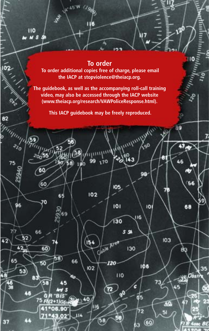# **To order To order additional copies free of charge, please email the IACP at stopviolence@theiacp.org.**

120

39

47

46

78

юз

40

51

56

68

вa

35

Obsir

110

45°W

29.67

110 M S

ó2

82

 $\partial_{\alpha}$ 

96

42

60

60

70

66

60

50

58

75

7194

۵R "B<sub>is</sub>

75 FN2+1/G6s

**°06.90** 

 $3.02'$ 

52

42

53

v

65

65

69

58)

45

к

66

75

**The guidebook, as well as the accompanying roll-call training video, may also be accessed through the IACP website (www.theiacp.org/research/VAWPoliceResponse.html).**

**This IACP guidebook may be freely reproduced.**

oŕ،

**105** 

 $101$ 

130

Clable Area

 $-120$ 

z

110

90

55%

130

G

 $\vec{65}$ 

72

śэ

 $\circ$ 

99

102

154

102

II6

58

 $21.40$ 

114

180

**Many** 

ї́43

م)<br>مو

98

 $\overline{101}$ 

106

73

116